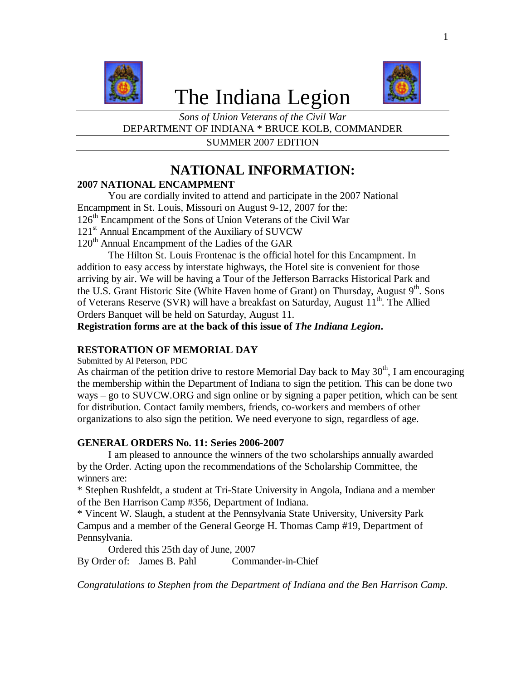

# The Indiana Legion



*Sons of Union Veterans of the Civil War* DEPARTMENT OF INDIANA \* BRUCE KOLB, COMMANDER

SUMMER 2007 EDITION

## **NATIONAL INFORMATION:**

### **2007 NATIONAL ENCAMPMENT**

You are cordially invited to attend and participate in the 2007 National Encampment in St. Louis, Missouri on August 9-12, 2007 for the: 126<sup>th</sup> Encampment of the Sons of Union Veterans of the Civil War 121<sup>st</sup> Annual Encampment of the Auxiliary of SUVCW  $120<sup>th</sup>$  Annual Encampment of the Ladies of the GAR

The Hilton St. Louis Frontenac is the official hotel for this Encampment. In addition to easy access by interstate highways, the Hotel site is convenient for those arriving by air. We will be having a Tour of the Jefferson Barracks Historical Park and the U.S. Grant Historic Site (White Haven home of Grant) on Thursday, August  $9<sup>th</sup>$ . Sons of Veterans Reserve (SVR) will have a breakfast on Saturday, August 11<sup>th</sup>. The Allied Orders Banquet will be held on Saturday, August 11.

**Registration forms are at the back of this issue of** *The Indiana Legion***.**

### **RESTORATION OF MEMORIAL DAY**

Submitted by Al Peterson, PDC

As chairman of the petition drive to restore Memorial Day back to May  $30<sup>th</sup>$ , I am encouraging the membership within the Department of Indiana to sign the petition. This can be done two ways – go to SUVCW.ORG and sign online or by signing a paper petition, which can be sent for distribution. Contact family members, friends, co-workers and members of other organizations to also sign the petition. We need everyone to sign, regardless of age.

### **GENERAL ORDERS No. 11: Series 2006-2007**

I am pleased to announce the winners of the two scholarships annually awarded by the Order. Acting upon the recommendations of the Scholarship Committee, the winners are:

\* Stephen Rushfeldt, a student at Tri-State University in Angola, Indiana and a member of the Ben Harrison Camp #356, Department of Indiana.

\* Vincent W. Slaugh, a student at the Pennsylvania State University, University Park Campus and a member of the General George H. Thomas Camp #19, Department of Pennsylvania.

Ordered this 25th day of June, 2007 By Order of: James B. Pahl Commander-in-Chief

*Congratulations to Stephen from the Department of Indiana and the Ben Harrison Camp.*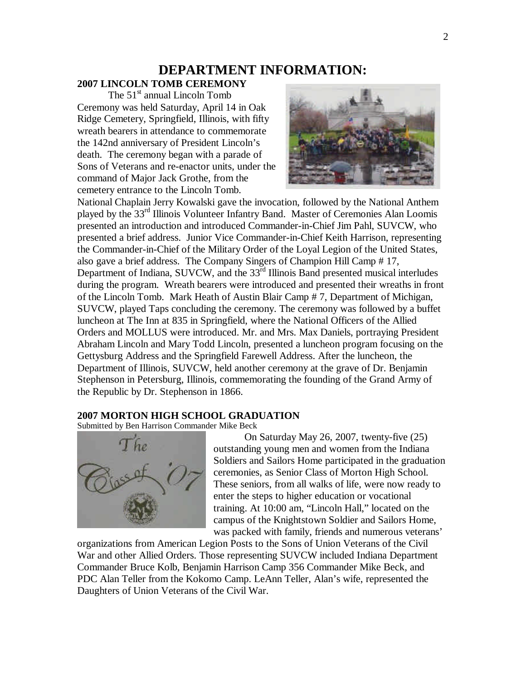### **DEPARTMENT INFORMATION:**

### **2007 LINCOLN TOMB CEREMONY**

The  $51<sup>st</sup>$  annual Lincoln Tomb Ceremony was held Saturday, April 14 in Oak Ridge Cemetery, Springfield, Illinois, with fifty wreath bearers in attendance to commemorate the 142nd anniversary of President Lincoln's death. The ceremony began with a parade of Sons of Veterans and re-enactor units, under the command of Major Jack Grothe, from the cemetery entrance to the Lincoln Tomb.



National Chaplain Jerry Kowalski gave the invocation, followed by the National Anthem played by the 33rd Illinois Volunteer Infantry Band. Master of Ceremonies Alan Loomis presented an introduction and introduced Commander-in-Chief Jim Pahl, SUVCW, who presented a brief address. Junior Vice Commander-in-Chief Keith Harrison, representing the Commander-in-Chief of the Military Order of the Loyal Legion of the United States, also gave a brief address. The Company Singers of Champion Hill Camp # 17, Department of Indiana, SUVCW, and the 33<sup>rd</sup> Illinois Band presented musical interludes during the program. Wreath bearers were introduced and presented their wreaths in front of the Lincoln Tomb. Mark Heath of Austin Blair Camp # 7, Department of Michigan, SUVCW, played Taps concluding the ceremony. The ceremony was followed by a buffet luncheon at The Inn at 835 in Springfield, where the National Officers of the Allied Orders and MOLLUS were introduced. Mr. and Mrs. Max Daniels, portraying President Abraham Lincoln and Mary Todd Lincoln, presented a luncheon program focusing on the Gettysburg Address and the Springfield Farewell Address. After the luncheon, the Department of Illinois, SUVCW, held another ceremony at the grave of Dr. Benjamin Stephenson in Petersburg, Illinois, commemorating the founding of the Grand Army of the Republic by Dr. Stephenson in 1866.

### **2007 MORTON HIGH SCHOOL GRADUATION**

Submitted by Ben Harrison Commander Mike Beck



On Saturday May 26, 2007, twenty-five (25) outstanding young men and women from the Indiana Soldiers and Sailors Home participated in the graduation ceremonies, as Senior Class of Morton High School. These seniors, from all walks of life, were now ready to enter the steps to higher education or vocational training. At 10:00 am, "Lincoln Hall," located on the campus of the Knightstown Soldier and Sailors Home, was packed with family, friends and numerous veterans'

organizations from American Legion Posts to the Sons of Union Veterans of the Civil War and other Allied Orders. Those representing SUVCW included Indiana Department Commander Bruce Kolb, Benjamin Harrison Camp 356 Commander Mike Beck, and PDC Alan Teller from the Kokomo Camp. LeAnn Teller, Alan's wife, represented the Daughters of Union Veterans of the Civil War.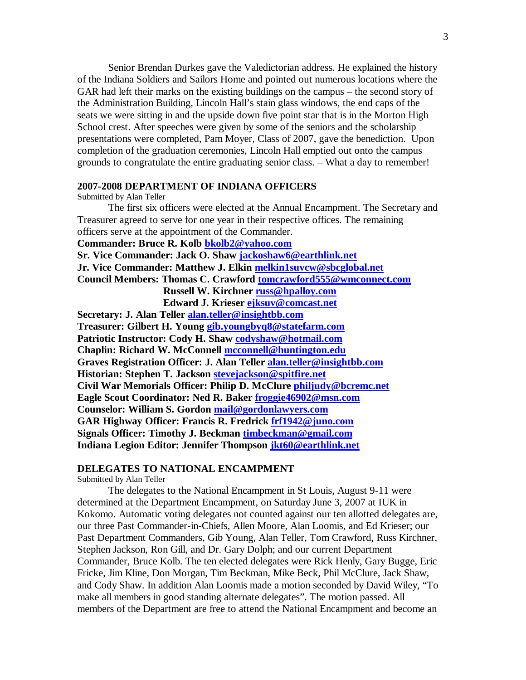Senior Brendan Durkes gave the Valedictorian address. He explained the history of the Indiana Soldiers and Sailors Home and pointed out numerous locations where the GAR had left their marks on the existing buildings on the campus – the second story of the Administration Building, Lincoln Hall's stain glass windows, the end caps of the seats we were sitting in and the upside down five point star that is in the Morton High School crest. After speeches were given by some of the seniors and the scholarship presentations were completed, Pam Moyer, Class of 2007, gave the benediction. Upon completion of the graduation ceremonies, Lincoln Hall emptied out onto the campus grounds to congratulate the entire graduating senior class. – What a day to remember!

### **2007-2008 DEPARTMENT OF INDIANA OFFICERS**

Submitted by Alan Teller

The first six officers were elected at the Annual Encampment. The Secretary and Treasurer agreed to serve for one year in their respective offices. The remaining officers serve at the appointment of the Commander.

### **Commander: Bruce R. Kolb bkolb2@yahoo.com**

**Sr. Vice Commander: Jack O. Shaw jackoshaw6@earthlink.net**

**Jr. Vice Commander: Matthew J. Elkin melkin1suvcw@sbcglobal.net**

**Council Members: Thomas C. Crawford tomcrawford555@wmconnect.com Russell W. Kirchner russ@hpalloy.com**

 **Edward J. Krieser ejksuv@comcast.net**

**Secretary: J. Alan Teller alan.teller@insightbb.com Treasurer: Gilbert H. Young gib.youngbyq8@statefarm.com Patriotic Instructor: Cody H. Shaw codyshaw@hotmail.com Chaplin: Richard W. McConnell mcconnell@huntington.edu Graves Registration Officer: J. Alan Teller alan.teller@insightbb.com Historian: Stephen T. Jackson stevejackson@spitfire.net Civil War Memorials Officer: Philip D. McClure philjudy@bcremc.net Eagle Scout Coordinator: Ned R. Baker froggie46902@msn.com Counselor: William S. Gordon mail@gordonlawyers.com GAR Highway Officer: Francis R. Fredrick frf1942@juno.com Signals Officer: Timothy J. Beckman timbeckman@gmail.com Indiana Legion Editor: Jennifer Thompson jkt60@earthlink.net**

### **DELEGATES TO NATIONAL ENCAMPMENT**

Submitted by Alan Teller

The delegates to the National Encampment in St Louis, August 9-11 were determined at the Department Encampment, on Saturday June 3, 2007 at IUK in Kokomo. Automatic voting delegates not counted against our ten allotted delegates are, our three Past Commander-in-Chiefs, Allen Moore, Alan Loomis, and Ed Krieser; our Past Department Commanders, Gib Young, Alan Teller, Tom Crawford, Russ Kirchner, Stephen Jackson, Ron Gill, and Dr. Gary Dolph; and our current Department Commander, Bruce Kolb. The ten elected delegates were Rick Henly, Gary Bugge, Eric Fricke, Jim Kline, Don Morgan, Tim Beckman, Mike Beck, Phil McClure, Jack Shaw, and Cody Shaw. In addition Alan Loomis made a motion seconded by David Wiley, "To make all members in good standing alternate delegates". The motion passed. All members of the Department are free to attend the National Encampment and become an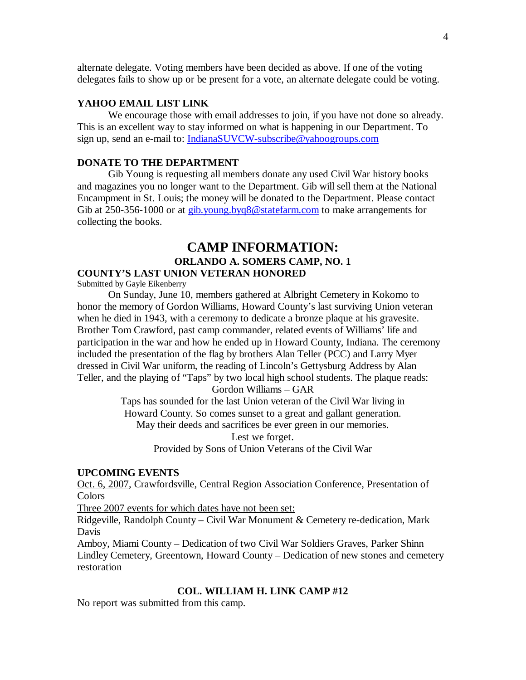alternate delegate. Voting members have been decided as above. If one of the voting delegates fails to show up or be present for a vote, an alternate delegate could be voting.

### **YAHOO EMAIL LIST LINK**

We encourage those with email addresses to join, if you have not done so already. This is an excellent way to stay informed on what is happening in our Department. To sign up, send an e-mail to: IndianaSUVCW-subscribe@yahoogroups.com

### **DONATE TO THE DEPARTMENT**

Gib Young is requesting all members donate any used Civil War history books and magazines you no longer want to the Department. Gib will sell them at the National Encampment in St. Louis; the money will be donated to the Department. Please contact Gib at 250-356-1000 or at gib.young.byq8@statefarm.com to make arrangements for collecting the books.

### **CAMP INFORMATION: ORLANDO A. SOMERS CAMP, NO. 1 COUNTY'S LAST UNION VETERAN HONORED**

Submitted by Gayle Eikenberry

On Sunday, June 10, members gathered at Albright Cemetery in Kokomo to honor the memory of Gordon Williams, Howard County's last surviving Union veteran when he died in 1943, with a ceremony to dedicate a bronze plaque at his gravesite. Brother Tom Crawford, past camp commander, related events of Williams' life and participation in the war and how he ended up in Howard County, Indiana. The ceremony included the presentation of the flag by brothers Alan Teller (PCC) and Larry Myer dressed in Civil War uniform, the reading of Lincoln's Gettysburg Address by Alan Teller, and the playing of "Taps" by two local high school students. The plaque reads:

Gordon Williams – GAR

Taps has sounded for the last Union veteran of the Civil War living in Howard County. So comes sunset to a great and gallant generation. May their deeds and sacrifices be ever green in our memories. Lest we forget.

Provided by Sons of Union Veterans of the Civil War

### **UPCOMING EVENTS**

Oct. 6, 2007, Crawfordsville, Central Region Association Conference, Presentation of Colors

Three 2007 events for which dates have not been set:

Ridgeville, Randolph County – Civil War Monument & Cemetery re-dedication, Mark Davis

Amboy, Miami County – Dedication of two Civil War Soldiers Graves, Parker Shinn Lindley Cemetery, Greentown, Howard County – Dedication of new stones and cemetery restoration

### **COL. WILLIAM H. LINK CAMP #12**

No report was submitted from this camp.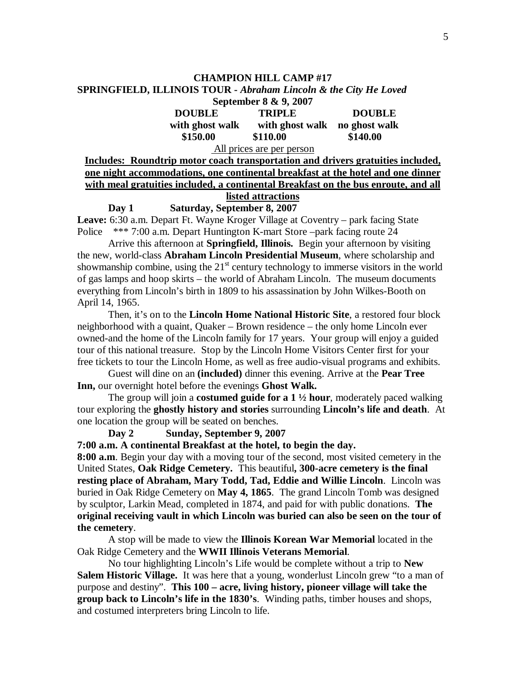#### **CHAMPION HILL CAMP #17**

#### **SPRINGFIELD, ILLINOIS TOUR -** *Abraham Lincoln & the City He Loved* **September 8 & 9, 2007**

|                 | September $\delta \propto 9.2007$ |               |  |
|-----------------|-----------------------------------|---------------|--|
| <b>DOUBLE</b>   | <b>TRIPLE</b>                     | <b>DOUBLE</b> |  |
| with ghost walk | with ghost walk                   | no ghost walk |  |
| \$150.00        | \$110.00                          | \$140.00      |  |

All prices are per person

### **Includes: Roundtrip motor coach transportation and drivers gratuities included, one night accommodations, one continental breakfast at the hotel and one dinner with meal gratuities included, a continental Breakfast on the bus enroute, and all listed attractions**

**Day 1 Saturday, September 8, 2007 Leave:** 6:30 a.m. Depart Ft. Wayne Kroger Village at Coventry – park facing State

Police \*\*\* 7:00 a.m. Depart Huntington K-mart Store –park facing route 24

Arrive this afternoon at **Springfield, Illinois.** Begin your afternoon by visiting the new, world-class **Abraham Lincoln Presidential Museum**, where scholarship and showmanship combine, using the  $21<sup>st</sup>$  century technology to immerse visitors in the world of gas lamps and hoop skirts – the world of Abraham Lincoln. The museum documents everything from Lincoln's birth in 1809 to his assassination by John Wilkes-Booth on April 14, 1965.

Then, it's on to the **Lincoln Home National Historic Site**, a restored four block neighborhood with a quaint, Quaker – Brown residence – the only home Lincoln ever owned-and the home of the Lincoln family for 17 years. Your group will enjoy a guided tour of this national treasure. Stop by the Lincoln Home Visitors Center first for your free tickets to tour the Lincoln Home, as well as free audio-visual programs and exhibits.

Guest will dine on an **(included)** dinner this evening. Arrive at the **Pear Tree Inn,** our overnight hotel before the evenings **Ghost Walk.**

The group will join a **costumed guide for a 1 ½ hour**, moderately paced walking tour exploring the **ghostly history and stories** surrounding **Lincoln's life and death**. At one location the group will be seated on benches.

### **Day 2 Sunday, September 9, 2007**

**7:00 a.m. A continental Breakfast at the hotel, to begin the day.**

**8:00 a.m**. Begin your day with a moving tour of the second, most visited cemetery in the United States, **Oak Ridge Cemetery.** This beautiful**, 300-acre cemetery is the final resting place of Abraham, Mary Todd, Tad, Eddie and Willie Lincoln**. Lincoln was buried in Oak Ridge Cemetery on **May 4, 1865**. The grand Lincoln Tomb was designed by sculptor, Larkin Mead, completed in 1874, and paid for with public donations. **The original receiving vault in which Lincoln was buried can also be seen on the tour of the cemetery**.

A stop will be made to view the **Illinois Korean War Memorial** located in the Oak Ridge Cemetery and the **WWII Illinois Veterans Memorial**.

No tour highlighting Lincoln's Life would be complete without a trip to **New Salem Historic Village.** It was here that a young, wonderlust Lincoln grew "to a man of purpose and destiny". **This 100 – acre, living history, pioneer village will take the group back to Lincoln's life in the 1830's**. Winding paths, timber houses and shops, and costumed interpreters bring Lincoln to life.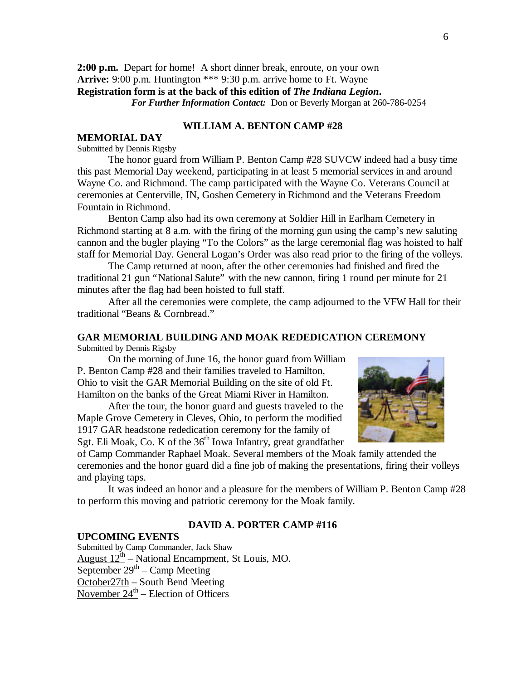**2:00 p.m.** Depart for home! A short dinner break, enroute, on your own **Arrive:** 9:00 p.m. Huntington \*\*\* 9:30 p.m. arrive home to Ft. Wayne **Registration form is at the back of this edition of** *The Indiana Legion***.** *For Further Information Contact:* Don or Beverly Morgan at 260-786-0254

### **WILLIAM A. BENTON CAMP #28**

### **MEMORIAL DAY**

#### Submitted by Dennis Rigsby

The honor guard from William P. Benton Camp #28 SUVCW indeed had a busy time this past Memorial Day weekend, participating in at least 5 memorial services in and around Wayne Co. and Richmond. The camp participated with the Wayne Co. Veterans Council at ceremonies at Centerville, IN, Goshen Cemetery in Richmond and the Veterans Freedom Fountain in Richmond.

Benton Camp also had its own ceremony at Soldier Hill in Earlham Cemetery in Richmond starting at 8 a.m. with the firing of the morning gun using the camp's new saluting cannon and the bugler playing "To the Colors" as the large ceremonial flag was hoisted to half staff for Memorial Day. General Logan's Order was also read prior to the firing of the volleys.

The Camp returned at noon, after the other ceremonies had finished and fired the traditional 21 gun "National Salute" with the new cannon, firing 1 round per minute for 21 minutes after the flag had been hoisted to full staff.

After all the ceremonies were complete, the camp adjourned to the VFW Hall for their traditional "Beans & Cornbread."

## **GAR MEMORIAL BUILDING AND MOAK REDEDICATION CEREMONY**

Submitted by Dennis Rigsby

On the morning of June 16, the honor guard from William P. Benton Camp #28 and their families traveled to Hamilton, Ohio to visit the GAR Memorial Building on the site of old Ft. Hamilton on the banks of the Great Miami River in Hamilton.

After the tour, the honor guard and guests traveled to the Maple Grove Cemetery in Cleves, Ohio, to perform the modified 1917 GAR headstone rededication ceremony for the family of Sgt. Eli Moak, Co. K of the  $36<sup>th</sup>$  Iowa Infantry, great grandfather



of Camp Commander Raphael Moak. Several members of the Moak family attended the ceremonies and the honor guard did a fine job of making the presentations, firing their volleys and playing taps.

It was indeed an honor and a pleasure for the members of William P. Benton Camp #28 to perform this moving and patriotic ceremony for the Moak family.

### **DAVID A. PORTER CAMP #116**

### **UPCOMING EVENTS** Submitted by Camp Commander, Jack Shaw August  $12^{th}$  – National Encampment, St Louis, MO. September  $29<sup>th</sup>$  – Camp Meeting October27th – South Bend Meeting November  $24^{\text{th}}$  – Election of Officers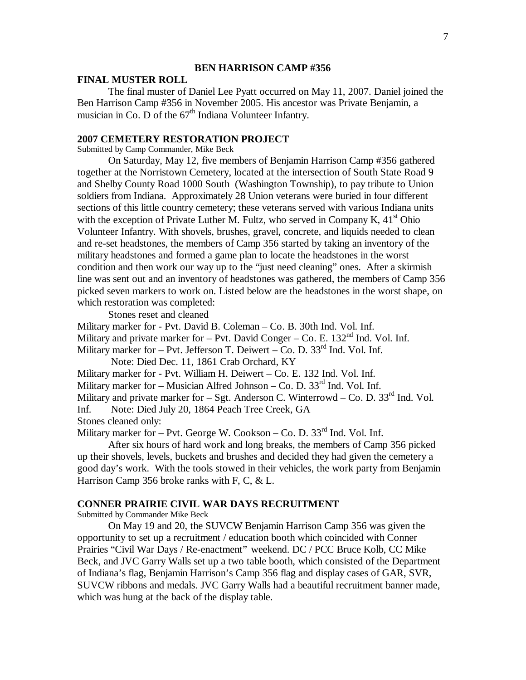### **BEN HARRISON CAMP #356**

### **FINAL MUSTER ROLL**

The final muster of Daniel Lee Pyatt occurred on May 11, 2007. Daniel joined the Ben Harrison Camp #356 in November 2005. His ancestor was Private Benjamin, a musician in Co. D of the  $67<sup>th</sup>$  Indiana Volunteer Infantry.

### **2007 CEMETERY RESTORATION PROJECT**

Submitted by Camp Commander, Mike Beck

On Saturday, May 12, five members of Benjamin Harrison Camp #356 gathered together at the Norristown Cemetery, located at the intersection of South State Road 9 and Shelby County Road 1000 South (Washington Township), to pay tribute to Union soldiers from Indiana. Approximately 28 Union veterans were buried in four different sections of this little country cemetery; these veterans served with various Indiana units with the exception of Private Luther M. Fultz, who served in Company K,  $41<sup>st</sup>$  Ohio Volunteer Infantry. With shovels, brushes, gravel, concrete, and liquids needed to clean and re-set headstones, the members of Camp 356 started by taking an inventory of the military headstones and formed a game plan to locate the headstones in the worst condition and then work our way up to the "just need cleaning" ones. After a skirmish line was sent out and an inventory of headstones was gathered, the members of Camp 356 picked seven markers to work on. Listed below are the headstones in the worst shape, on which restoration was completed:

Stones reset and cleaned

Military marker for - Pvt. David B. Coleman – Co. B. 30th Ind. Vol. Inf.

Military and private marker for – Pvt. David Conger – Co. E.  $132<sup>nd</sup>$  Ind. Vol. Inf.

Military marker for  $-$  Pvt. Jefferson T. Deiwert  $-$  Co. D. 33<sup>rd</sup> Ind. Vol. Inf.

Note: Died Dec. 11, 1861 Crab Orchard, KY

Military marker for - Pvt. William H. Deiwert – Co. E. 132 Ind. Vol. Inf.

Military marker for – Musician Alfred Johnson – Co. D.  $33<sup>rd</sup>$  Ind. Vol. Inf.

Military and private marker for  $-$  Sgt. Anderson C. Winterrowd  $-$  Co. D. 33<sup>rd</sup> Ind. Vol.

Inf. Note: Died July 20, 1864 Peach Tree Creek, GA

Stones cleaned only:

Military marker for  $-$  Pvt. George W. Cookson  $-$  Co. D. 33<sup>rd</sup> Ind. Vol. Inf.

After six hours of hard work and long breaks, the members of Camp 356 picked up their shovels, levels, buckets and brushes and decided they had given the cemetery a good day's work. With the tools stowed in their vehicles, the work party from Benjamin Harrison Camp 356 broke ranks with F, C, & L.

#### **CONNER PRAIRIE CIVIL WAR DAYS RECRUITMENT**

Submitted by Commander Mike Beck

On May 19 and 20, the SUVCW Benjamin Harrison Camp 356 was given the opportunity to set up a recruitment / education booth which coincided with Conner Prairies "Civil War Days / Re-enactment" weekend. DC / PCC Bruce Kolb, CC Mike Beck, and JVC Garry Walls set up a two table booth, which consisted of the Department of Indiana's flag, Benjamin Harrison's Camp 356 flag and display cases of GAR, SVR, SUVCW ribbons and medals. JVC Garry Walls had a beautiful recruitment banner made, which was hung at the back of the display table.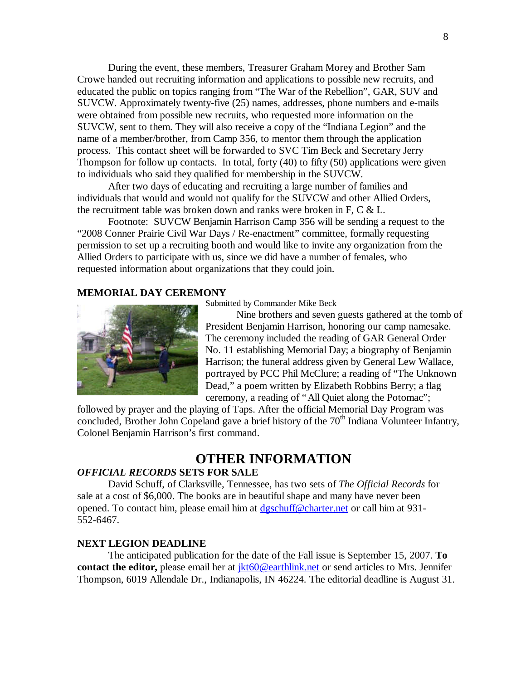During the event, these members, Treasurer Graham Morey and Brother Sam Crowe handed out recruiting information and applications to possible new recruits, and educated the public on topics ranging from "The War of the Rebellion", GAR, SUV and SUVCW. Approximately twenty-five (25) names, addresses, phone numbers and e-mails were obtained from possible new recruits, who requested more information on the SUVCW, sent to them. They will also receive a copy of the "Indiana Legion" and the name of a member/brother, from Camp 356, to mentor them through the application process. This contact sheet will be forwarded to SVC Tim Beck and Secretary Jerry Thompson for follow up contacts. In total, forty (40) to fifty (50) applications were given to individuals who said they qualified for membership in the SUVCW.

After two days of educating and recruiting a large number of families and individuals that would and would not qualify for the SUVCW and other Allied Orders, the recruitment table was broken down and ranks were broken in F, C & L.

Footnote: SUVCW Benjamin Harrison Camp 356 will be sending a request to the "2008 Conner Prairie Civil War Days / Re-enactment" committee, formally requesting permission to set up a recruiting booth and would like to invite any organization from the Allied Orders to participate with us, since we did have a number of females, who requested information about organizations that they could join.

### **MEMORIAL DAY CEREMONY**



Submitted by Commander Mike Beck

Nine brothers and seven guests gathered at the tomb of President Benjamin Harrison, honoring our camp namesake. The ceremony included the reading of GAR General Order No. 11 establishing Memorial Day; a biography of Benjamin Harrison; the funeral address given by General Lew Wallace, portrayed by PCC Phil McClure; a reading of "The Unknown Dead," a poem written by Elizabeth Robbins Berry; a flag ceremony, a reading of "All Quiet along the Potomac";

followed by prayer and the playing of Taps. After the official Memorial Day Program was concluded, Brother John Copeland gave a brief history of the 70<sup>th</sup> Indiana Volunteer Infantry, Colonel Benjamin Harrison's first command.

### **OTHER INFORMATION**

### *OFFICIAL RECORDS* **SETS FOR SALE**

David Schuff, of Clarksville, Tennessee, has two sets of *The Official Records* for sale at a cost of \$6,000. The books are in beautiful shape and many have never been opened. To contact him, please email him at dgschuff@charter.net or call him at 931-552-6467.

### **NEXT LEGION DEADLINE**

The anticipated publication for the date of the Fall issue is September 15, 2007. **To contact the editor,** please email her at *jkt60@earthlink.net* or send articles to Mrs. Jennifer Thompson, 6019 Allendale Dr., Indianapolis, IN 46224. The editorial deadline is August 31.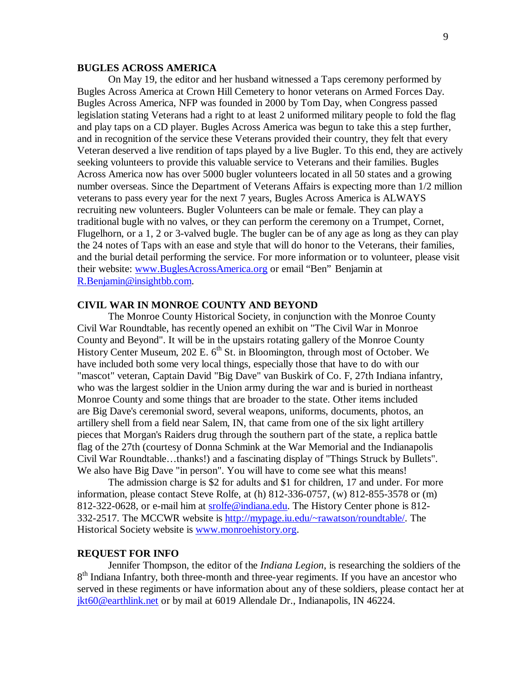### **BUGLES ACROSS AMERICA**

On May 19, the editor and her husband witnessed a Taps ceremony performed by Bugles Across America at Crown Hill Cemetery to honor veterans on Armed Forces Day. Bugles Across America, NFP was founded in 2000 by Tom Day, when Congress passed legislation stating Veterans had a right to at least 2 uniformed military people to fold the flag and play taps on a CD player. Bugles Across America was begun to take this a step further, and in recognition of the service these Veterans provided their country, they felt that every Veteran deserved a live rendition of taps played by a live Bugler. To this end, they are actively seeking volunteers to provide this valuable service to Veterans and their families. Bugles Across America now has over 5000 bugler volunteers located in all 50 states and a growing number overseas. Since the Department of Veterans Affairs is expecting more than 1/2 million veterans to pass every year for the next 7 years, Bugles Across America is ALWAYS recruiting new volunteers. Bugler Volunteers can be male or female. They can play a traditional bugle with no valves, or they can perform the ceremony on a Trumpet, Cornet, Flugelhorn, or a 1, 2 or 3-valved bugle. The bugler can be of any age as long as they can play the 24 notes of Taps with an ease and style that will do honor to the Veterans, their families, and the burial detail performing the service. For more information or to volunteer, please visit their website: www.BuglesAcrossAmerica.org or email "Ben" Benjamin at R.Benjamin@insightbb.com.

#### **CIVIL WAR IN MONROE COUNTY AND BEYOND**

The Monroe County Historical Society, in conjunction with the Monroe County Civil War Roundtable, has recently opened an exhibit on "The Civil War in Monroe County and Beyond". It will be in the upstairs rotating gallery of the Monroe County History Center Museum, 202 E.  $6<sup>th</sup>$  St. in Bloomington, through most of October. We have included both some very local things, especially those that have to do with our "mascot" veteran, Captain David "Big Dave" van Buskirk of Co. F, 27th Indiana infantry, who was the largest soldier in the Union army during the war and is buried in northeast Monroe County and some things that are broader to the state. Other items included are Big Dave's ceremonial sword, several weapons, uniforms, documents, photos, an artillery shell from a field near Salem, IN, that came from one of the six light artillery pieces that Morgan's Raiders drug through the southern part of the state, a replica battle flag of the 27th (courtesy of Donna Schmink at the War Memorial and the Indianapolis Civil War Roundtable… thanks!) and a fascinating display of "Things Struck by Bullets". We also have Big Dave "in person". You will have to come see what this means!

The admission charge is \$2 for adults and \$1 for children, 17 and under. For more information, please contact Steve Rolfe, at (h) 812-336-0757, (w) 812-855-3578 or (m) 812-322-0628, or e-mail him at srolfe@indiana.edu. The History Center phone is 812- 332-2517. The MCCWR website is http://mypage.iu.edu/~rawatson/roundtable/. The Historical Society website is www.monroehistory.org.

### **REQUEST FOR INFO**

Jennifer Thompson, the editor of the *Indiana Legion*, is researching the soldiers of the 8<sup>th</sup> Indiana Infantry, both three-month and three-year regiments. If you have an ancestor who served in these regiments or have information about any of these soldiers, please contact her at jkt60@earthlink.net or by mail at 6019 Allendale Dr., Indianapolis, IN 46224.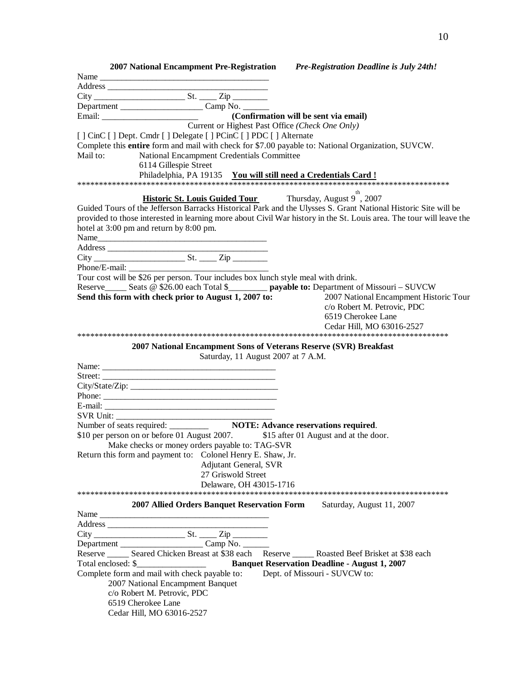| 2007 National Encampment Pre-Registration Pre-Registration Deadline is July 24th!                                    |
|----------------------------------------------------------------------------------------------------------------------|
|                                                                                                                      |
|                                                                                                                      |
|                                                                                                                      |
|                                                                                                                      |
|                                                                                                                      |
| Current or Highest Past Office (Check One Only)                                                                      |
| [] CinC [] Dept. Cmdr [] Delegate [] PCinC [] PDC [] Alternate                                                       |
| Complete this entire form and mail with check for \$7.00 payable to: National Organization, SUVCW.                   |
| Mail to:<br>National Encampment Credentials Committee                                                                |
| 6114 Gillespie Street                                                                                                |
| Philadelphia, PA 19135 You will still need a Credentials Card!                                                       |
|                                                                                                                      |
|                                                                                                                      |
| <b>Historic St. Louis Guided Tour</b> Thursday, August 9 <sup>th</sup> , 2007                                        |
| Guided Tours of the Jefferson Barracks Historical Park and the Ulysses S. Grant National Historic Site will be       |
| provided to those interested in learning more about Civil War history in the St. Louis area. The tour will leave the |
| hotel at 3:00 pm and return by 8:00 pm.                                                                              |
| Name                                                                                                                 |
|                                                                                                                      |
|                                                                                                                      |
|                                                                                                                      |
| Tour cost will be \$26 per person. Tour includes box lunch style meal with drink.                                    |
| Reserve______ Seats @ \$26.00 each Total \$__________ payable to: Department of Missouri - SUVCW                     |
| Send this form with check prior to August 1, 2007 to:<br>2007 National Encampment Historic Tour                      |
| c/o Robert M. Petrovic, PDC                                                                                          |
| 6519 Cherokee Lane                                                                                                   |
| Cedar Hill, MO 63016-2527                                                                                            |
|                                                                                                                      |
| 2007 National Encampment Sons of Veterans Reserve (SVR) Breakfast                                                    |
| Saturday, 11 August 2007 at 7 A.M.                                                                                   |
|                                                                                                                      |
|                                                                                                                      |
| Street:                                                                                                              |
|                                                                                                                      |
|                                                                                                                      |
|                                                                                                                      |
|                                                                                                                      |
|                                                                                                                      |
| \$10 per person on or before 01 August 2007. \$15 after 01 August and at the door.                                   |
| Make checks or money orders payable to: TAG-SVR                                                                      |
| Return this form and payment to: Colonel Henry E. Shaw, Jr.                                                          |
| <b>Adjutant General, SVR</b>                                                                                         |
| 27 Griswold Street                                                                                                   |
| Delaware, OH 43015-1716                                                                                              |
|                                                                                                                      |
| 2007 Allied Orders Banquet Reservation Form<br>Saturday, August 11, 2007                                             |
|                                                                                                                      |
|                                                                                                                      |
|                                                                                                                      |
|                                                                                                                      |
|                                                                                                                      |
| Reserve _______ Seared Chicken Breast at \$38 each Reserve ______ Roasted Beef Brisket at \$38 each                  |
|                                                                                                                      |
| Complete form and mail with check payable to:<br>Dept. of Missouri - SUVCW to:                                       |
| 2007 National Encampment Banquet                                                                                     |
| c/o Robert M. Petrovic, PDC                                                                                          |
| 6519 Cherokee Lane                                                                                                   |
| Cedar Hill, MO 63016-2527                                                                                            |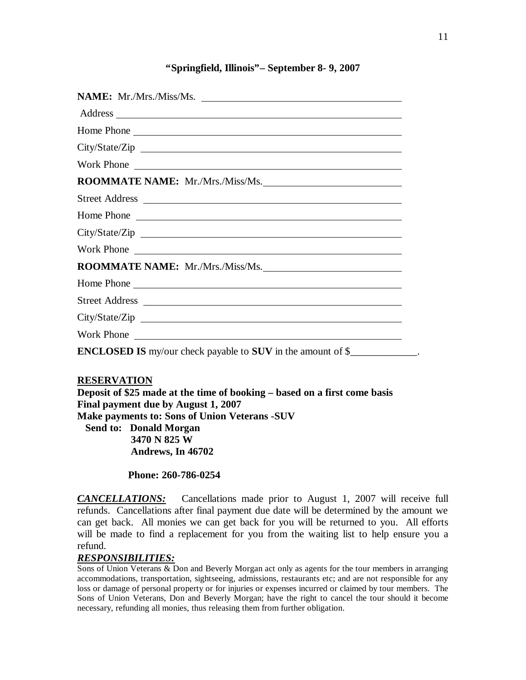### **"Springfield, Illinois"– September 8- 9, 2007**

| Home Phone                                                                             |
|----------------------------------------------------------------------------------------|
| City/State/Zip                                                                         |
| Work Phone                                                                             |
| ROOMMATE NAME: Mr./Mrs./Miss/Ms.                                                       |
|                                                                                        |
| Home Phone                                                                             |
|                                                                                        |
| Work Phone                                                                             |
| ROOMMATE NAME: Mr./Mrs./Miss/Ms.                                                       |
| Home Phone                                                                             |
|                                                                                        |
|                                                                                        |
| Work Phone                                                                             |
| <b>ENCLOSED IS</b> my/our check payable to <b>SUV</b> in the amount of $\frac{6}{2}$ . |

### **RESERVATION**

**Deposit of \$25 made at the time of booking – based on a first come basis Final payment due by August 1, 2007 Make payments to: Sons of Union Veterans -SUV Send to: Donald Morgan 3470 N 825 W Andrews, In 46702** 

 **Phone: 260-786-0254**

*CANCELLATIONS:*Cancellations made prior to August 1, 2007 will receive full refunds. Cancellations after final payment due date will be determined by the amount we can get back. All monies we can get back for you will be returned to you. All efforts will be made to find a replacement for you from the waiting list to help ensure you a refund.

### *RESPONSIBILITIES:*

Sons of Union Veterans & Don and Beverly Morgan act only as agents for the tour members in arranging accommodations, transportation, sightseeing, admissions, restaurants etc; and are not responsible for any loss or damage of personal property or for injuries or expenses incurred or claimed by tour members. The Sons of Union Veterans, Don and Beverly Morgan; have the right to cancel the tour should it become necessary, refunding all monies, thus releasing them from further obligation.